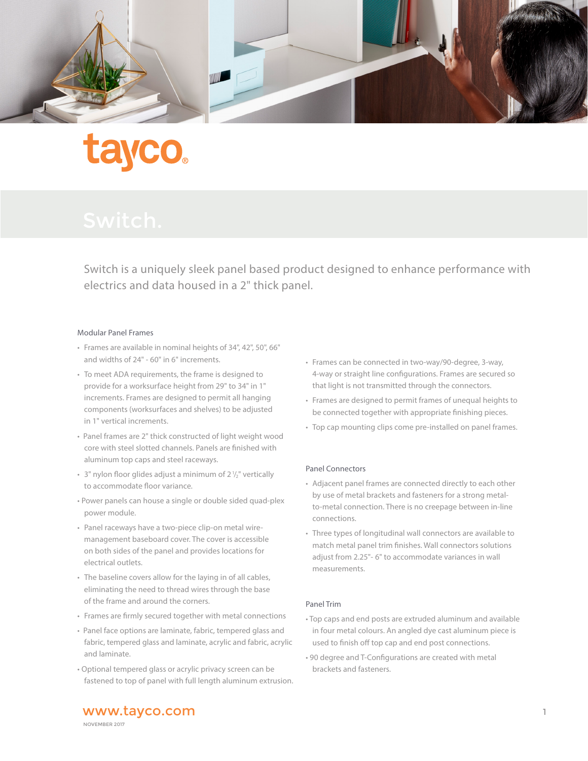

## **tayco**

Switch is a uniquely sleek panel based product designed to enhance performance with electrics and data housed in a 2" thick panel.

## Modular Panel Frames

- Frames are available in nominal heights of 34", 42", 50", 66" and widths of 24" - 60" in 6" increments.
- To meet ADA requirements, the frame is designed to provide for a worksurface height from 29" to 34" in 1" increments. Frames are designed to permit all hanging components (worksurfaces and shelves) to be adjusted in 1" vertical increments.
- Panel frames are 2" thick constructed of light weight wood core with steel slotted channels. Panels are finished with aluminum top caps and steel raceways.
- $\cdot$  3" nylon floor glides adjust a minimum of 2 $\frac{1}{2}$ " vertically to accommodate floor variance.
- Power panels can house a single or double sided quad-plex power module.
- Panel raceways have a two-piece clip-on metal wiremanagement baseboard cover. The cover is accessible on both sides of the panel and provides locations for electrical outlets.
- The baseline covers allow for the laying in of all cables, eliminating the need to thread wires through the base of the frame and around the corners.
- Frames are firmly secured together with metal connections
- Panel face options are laminate, fabric, tempered glass and fabric, tempered glass and laminate, acrylic and fabric, acrylic and laminate.
- Optional tempered glass or acrylic privacy screen can be fastened to top of panel with full length aluminum extrusion.
- Frames can be connected in two-way/90-degree, 3-way, 4-way or straight line configurations. Frames are secured so that light is not transmitted through the connectors.
- Frames are designed to permit frames of unequal heights to be connected together with appropriate finishing pieces.
- Top cap mounting clips come pre-installed on panel frames.

#### Panel Connectors

- Adjacent panel frames are connected directly to each other by use of metal brackets and fasteners for a strong metalto-metal connection. There is no creepage between in-line connections.
- Three types of longitudinal wall connectors are available to match metal panel trim finishes. Wall connectors solutions adjust from 2.25"- 6" to accommodate variances in wall measurements.

#### Panel Trim

- Top caps and end posts are extruded aluminum and available in four metal colours. An angled dye cast aluminum piece is used to finish off top cap and end post connections.
- 90 degree and T-Configurations are created with metal brackets and fasteners.

www.tayco.com and the state of the state of the state  $\frac{1}{1}$ NOVEMBER 2017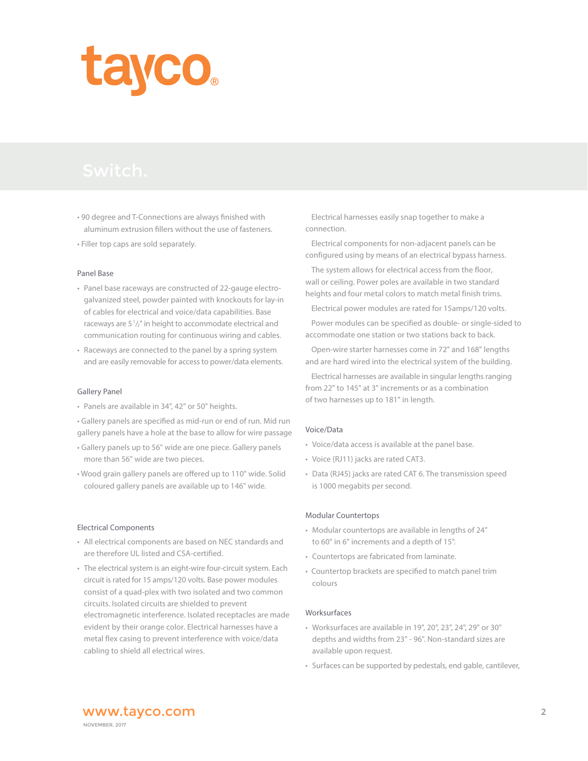# tayco.

- 90 degree and T-Connections are always finished with aluminum extrusion fillers without the use of fasteners.
- Filler top caps are sold separately.

#### Panel Base

- Panel base raceways are constructed of 22-gauge electrogalvanized steel, powder painted with knockouts for lay-in of cables for electrical and voice/data capabilities. Base raceways are  $5\frac{1}{2}$ " in height to accommodate electrical and communication routing for continuous wiring and cables.
- Raceways are connected to the panel by a spring system and are easily removable for access to power/data elements.

#### Gallery Panel

• Panels are available in 34", 42" or 50" heights.

• Gallery panels are specified as mid-run or end of run. Mid run gallery panels have a hole at the base to allow for wire passage

- Gallery panels up to 56" wide are one piece. Gallery panels more than 56" wide are two pieces.
- Wood grain gallery panels are offered up to 110" wide. Solid coloured gallery panels are available up to 146" wide.

#### Electrical Components

- All electrical components are based on NEC standards and are therefore UL listed and CSA-certified.
- The electrical system is an eight-wire four-circuit system. Each circuit is rated for 15 amps/120 volts. Base power modules consist of a quad-plex with two isolated and two common circuits. Isolated circuits are shielded to prevent electromagnetic interference. Isolated receptacles are made evident by their orange color. Electrical harnesses have a metal flex casing to prevent interference with voice/data cabling to shield all electrical wires.

 Electrical harnesses easily snap together to make a connection.

 Electrical components for non-adjacent panels can be configured using by means of an electrical bypass harness.

The system allows for electrical access from the floor, wall or ceiling. Power poles are available in two standard heights and four metal colors to match metal finish trims.

Electrical power modules are rated for 15amps/120 volts.

 Power modules can be specified as double- or single-sided to accommodate one station or two stations back to back.

 Open-wire starter harnesses come in 72" and 168" lengths and are hard wired into the electrical system of the building.

Electrical harnesses are available in singular lengths ranging from 22" to 145" at 3" increments or as a combination of two harnesses up to 181" in length.

#### Voice/Data

- Voice/data access is available at the panel base.
- Voice (RJ11) jacks are rated CAT3.
- Data (RJ45) jacks are rated CAT 6. The transmission speed is 1000 megabits per second.

#### Modular Countertops

- Modular countertops are available in lengths of 24" to 60" in 6" increments and a depth of 15".
- Countertops are fabricated from laminate.
- Countertop brackets are specified to match panel trim colours

## Worksurfaces

- Worksurfaces are available in 19", 20", 23", 24", 29" or 30" depths and widths from 23" - 96". Non-standard sizes are available upon request.
- Surfaces can be supported by pedestals, end gable, cantilever,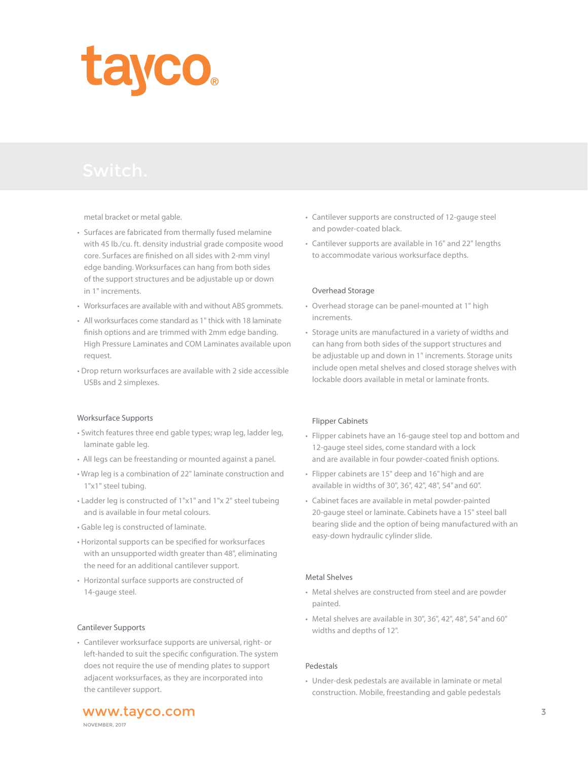

metal bracket or metal gable.

- Surfaces are fabricated from thermally fused melamine with 45 lb./cu. ft. density industrial grade composite wood core. Surfaces are finished on all sides with 2-mm vinyl edge banding. Worksurfaces can hang from both sides of the support structures and be adjustable up or down in 1" increments.
- Worksurfaces are available with and without ABS grommets.
- All worksurfaces come standard as 1" thick with 18 laminate finish options and are trimmed with 2mm edge banding. High Pressure Laminates and COM Laminates available upon request.
- Drop return worksurfaces are available with 2 side accessible USBs and 2 simplexes.

#### Worksurface Supports

- Switch features three end gable types; wrap leg, ladder leg, laminate gable leg.
- All legs can be freestanding or mounted against a panel.
- Wrap leg is a combination of 22" laminate construction and 1"x1" steel tubing.
- Ladder leg is constructed of 1"x1" and 1"x 2" steel tubeing and is available in four metal colours.
- Gable leg is constructed of laminate.
- Horizontal supports can be specified for worksurfaces with an unsupported width greater than 48", eliminating the need for an additional cantilever support.
- Horizontal surface supports are constructed of 14-gauge steel.

#### Cantilever Supports

• Cantilever worksurface supports are universal, right- or left-handed to suit the specific configuration. The system does not require the use of mending plates to support adjacent worksurfaces, as they are incorporated into the cantilever support.

- Cantilever supports are constructed of 12-gauge steel and powder-coated black.
- Cantilever supports are available in 16" and 22" lengths to accommodate various worksurface depths.

#### Overhead Storage

- Overhead storage can be panel-mounted at 1" high increments.
- Storage units are manufactured in a variety of widths and can hang from both sides of the support structures and be adjustable up and down in 1" increments. Storage units include open metal shelves and closed storage shelves with lockable doors available in metal or laminate fronts.

#### Flipper Cabinets

- Flipper cabinets have an 16-gauge steel top and bottom and 12-gauge steel sides, come standard with a lock and are available in four powder-coated finish options.
- Flipper cabinets are 15" deep and 16" high and are available in widths of 30", 36", 42", 48", 54" and 60".
- Cabinet faces are available in metal powder-painted 20-gauge steel or laminate. Cabinets have a 15" steel ball bearing slide and the option of being manufactured with an easy-down hydraulic cylinder slide.

## Metal Shelves

- Metal shelves are constructed from steel and are powder painted.
- Metal shelves are available in 30", 36", 42", 48", 54" and 60" widths and depths of 12".

#### Pedestals

• Under-desk pedestals are available in laminate or metal construction. Mobile, freestanding and gable pedestals

www.tayco.com 3

NOVEMBER, 2017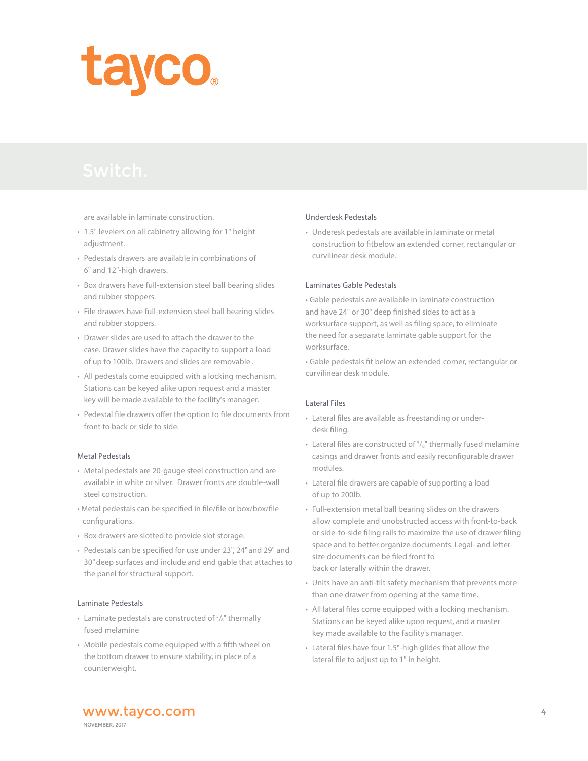

are available in laminate construction.

- 1.5" levelers on all cabinetry allowing for 1" height adjustment.
- Pedestals drawers are available in combinations of 6" and 12"-high drawers.
- Box drawers have full-extension steel ball bearing slides and rubber stoppers.
- File drawers have full-extension steel ball bearing slides and rubber stoppers.
- Drawer slides are used to attach the drawer to the case. Drawer slides have the capacity to support a load of up to 100lb. Drawers and slides are removable .
- All pedestals come equipped with a locking mechanism. Stations can be keyed alike upon request and a master key will be made available to the facility's manager.
- Pedestal file drawers offer the option to file documents from front to back or side to side.

## Metal Pedestals

- Metal pedestals are 20-gauge steel construction and are available in white or silver. Drawer fronts are double-wall steel construction.
- Metal pedestals can be specified in file/file or box/box/file configurations.
- Box drawers are slotted to provide slot storage.
- Pedestals can be specified for use under 23", 24" and 29" and 30" deep surfaces and include and end gable that attaches to the panel for structural support.

#### Laminate Pedestals

- Laminate pedestals are constructed of  $5/8$ " thermally fused melamine
- Mobile pedestals come equipped with a fifth wheel on the bottom drawer to ensure stability, in place of a counterweight.

#### Underdesk Pedestals

• Underesk pedestals are available in laminate or metal construction to fitbelow an extended corner, rectangular or curvilinear desk module.

## Laminates Gable Pedestals

• Gable pedestals are available in laminate construction and have 24" or 30" deep finished sides to act as a worksurface support, as well as filing space, to eliminate the need for a separate laminate gable support for the worksurface.

• Gable pedestals fit below an extended corner, rectangular or curvilinear desk module.

#### Lateral Files

- Lateral files are available as freestanding or underdesk filing.
- Lateral files are constructed of  $5/8$ " thermally fused melamine casings and drawer fronts and easily reconfigurable drawer modules.
- Lateral file drawers are capable of supporting a load of up to 200lb.
- Full-extension metal ball bearing slides on the drawers allow complete and unobstructed access with front-to-back or side-to-side filing rails to maximize the use of drawer filing space and to better organize documents. Legal- and lettersize documents can be filed front to back or laterally within the drawer.
- Units have an anti-tilt safety mechanism that prevents more than one drawer from opening at the same time.
- All lateral files come equipped with a locking mechanism. Stations can be keyed alike upon request, and a master key made available to the facility's manager.
- Lateral files have four 1.5"-high glides that allow the lateral file to adjust up to 1" in height.

www.tayco.com 4 NOVEMBER, 2017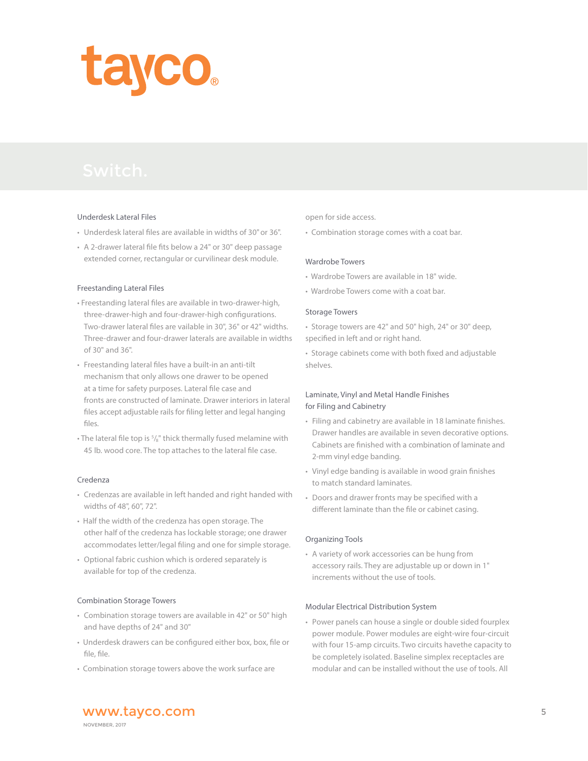

## Underdesk Lateral Files

- Underdesk lateral files are available in widths of 30" or 36".
- A 2-drawer lateral file fits below a 24" or 30" deep passage extended corner, rectangular or curvilinear desk module.

#### Freestanding Lateral Files

- Freestanding lateral files are available in two-drawer-high, three-drawer-high and four-drawer-high configurations. Two-drawer lateral files are vailable in 30", 36" or 42" widths. Three-drawer and four-drawer laterals are available in widths of 30" and 36".
- Freestanding lateral files have a built-in an anti-tilt mechanism that only allows one drawer to be opened at a time for safety purposes. Lateral file case and fronts are constructed of laminate. Drawer interiors in lateral files accept adjustable rails for filing letter and legal hanging files.
- $\cdot$  The lateral file top is  $\frac{5}{8}$ " thick thermally fused melamine with 45 lb. wood core. The top attaches to the lateral file case.

#### Credenza

- Credenzas are available in left handed and right handed with widths of 48", 60", 72".
- Half the width of the credenza has open storage. The other half of the credenza has lockable storage; one drawer accommodates letter/legal filing and one for simple storage.
- Optional fabric cushion which is ordered separately is available for top of the credenza.

## Combination Storage Towers

- Combination storage towers are available in 42" or 50" high and have depths of 24" and 30"
- Underdesk drawers can be configured either box, box, file or file, file.
- Combination storage towers above the work surface are

open for side access.

• Combination storage comes with a coat bar.

## Wardrobe Towers

- Wardrobe Towers are available in 18" wide.
- Wardrobe Towers come with a coat bar.

#### Storage Towers

• Storage towers are 42" and 50" high, 24" or 30" deep, specified in left and or right hand.

• Storage cabinets come with both fixed and adjustable shelves.

## Laminate, Vinyl and Metal Handle Finishes for Filing and Cabinetry

- Filing and cabinetry are available in 18 laminate finishes. Drawer handles are available in seven decorative options. Cabinets are finished with a combination of laminate and 2-mm vinyl edge banding.
- Vinyl edge banding is available in wood grain finishes to match standard laminates.
- Doors and drawer fronts may be specified with a different laminate than the file or cabinet casing.

#### Organizing Tools

• A variety of work accessories can be hung from accessory rails. They are adjustable up or down in 1" increments without the use of tools.

#### Modular Electrical Distribution System

• Power panels can house a single or double sided fourplex power module. Power modules are eight-wire four-circuit with four 15-amp circuits. Two circuits havethe capacity to be completely isolated. Baseline simplex receptacles are modular and can be installed without the use of tools. All

www.tayco.com 5 NOVEMBER, 2017